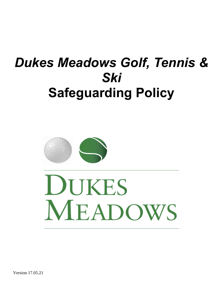# *Dukes Meadows Golf, Tennis & Ski*  **Safeguarding Policy**



DUKES MEADOWS

Version 17.05.21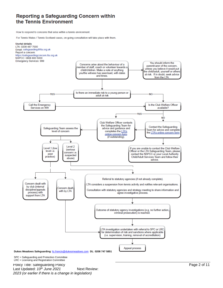### Reporting a Safeguarding Concern within the Tennis Environment

How to respond to concerns that arise within a tennis environment.

For Tennis Wales / Tennis Scotland cases, on-going consultation will take place with them.



Policy Title: Safeguarding Policy Last Updated: 10<sup>th</sup> June 2021 Next Review: *2023 (or earlier if there is a change in legislation)*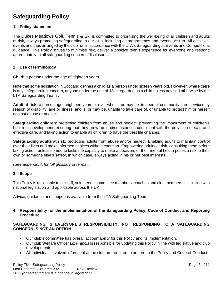## **Safeguarding Policy**

#### **1. Policy statement**

The Dukes Meadows Golf, Tennis & Ski is committed to prioritising the well-being of all children and adults at risk, always promoting safeguarding in our club, including all programmes and events we run. All activities, events and trips arranged by the club run in accordance with the LTA's Safeguarding at Events and Competitions guidance. This Policy strives to minimise risk, deliver a positive tennis experience for everyone and respond appropriately to all safeguarding concerns/disclosures.

#### **2. Use of terminology**

**Child:** a person under the age of eighteen years.

Note that some legislation in Scotland defines a child as a person under sixteen years old. However, where there is any safeguarding concern, anyone under the age of 18 is regarded as a child unless advised otherwise by the LTA Safeguarding Team .

**Adult at risk:** a person aged eighteen years or over who is, or may be, in need of community care services by reason of disability, age or illness; and is, or may be, unable to take care of, or unable to protect him or herself against abuse or neglect.

**Safeguarding children:** protecting children from abuse and neglect, preventing the impairment of children's health or development, ensuring that they grow up in circumstances consistent with the provision of safe and effective care, and taking action to enable all children to have the best life chances.

**Safeguarding adults at risk:** protecting adults from abuse and/or neglect. Enabling adults to maintain control over their lives and make informed choices without coercion. Empowering adults at risk, consulting them before taking action, unless someone lacks the capacity to make a decision, or their mental health poses a risk to their own or someone else's safety, in which case, always acting in his or her best interests.

*(See appendix A for full glossary of terms)*.

#### **3. Scope**

This Policy is applicable to all staff, volunteers, committee members, coaches and club members. It is in line with national legislation and applicable across the UK.

Advice, guidance and support is available from the LTA Safeguarding Team.

#### **4. Responsibility for the implementation of the Safeguarding Policy, Code of Conduct and Reporting Procedure**

#### **SAFEGUARDING IS EVERYONE'S RESPONSIBILITY: NOT RESPONDING TO A SAFEGUARDING CONCERN IS NOT AN OPTION.**

- Our club's committee has overall accountability for this Policy and its implementation.
- Our club Welfare Officer *Liz Francis* is responsible for updating this Policy in line with legislative and club developments.
- All individuals involved in/present at the club are required to adhere to the Policy and Code of Conduct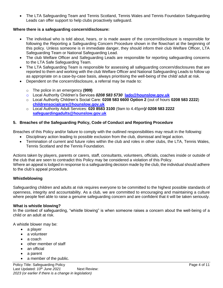• The LTA Safeguarding Team and Tennis Scotland, Tennis Wales and Tennis Foundation Safeguarding Leads can offer support to help clubs proactively safeguard.

#### **Where there is a safeguarding concern/disclosure:**

- The individual who is told about, hears, or is made aware of the concern/disclosure is responsible for following the Reporting a Safeguarding Concern Procedure shown in the flowchart at the beginning of this policy. Unless someone is in immediate danger, they should inform their club Welfare Officer, LTA Safeguarding Team or National Safeguarding Lead.
- The club Welfare Officer and Safeguarding Leads are responsible for reporting safeguarding concerns to the LTA Safe Safeguarding Team.
- The LTA Safeguarding Team is responsible for assessing all safeguarding concern/disclosures that are reported to them and working with the club Welfare Officer and National Safeguarding Leads to follow up as appropriate on a case-by-case basis, always prioritising the well-being of the child/ adult at risk.
- Dependent on the concern/disclosure, a referral may be made to:
	- o The police in an emergency **(999)**
	- o Local Authority Children's Services *0208 583 5730* **[lado@hounslow.gov.uk](mailto:lado@hounslow.gov.uk)**
	- o Local Authority Children's Social Care: **0208 583 6600 Option 2** (out of hours **0208 583 2222**) **[childrensocialcare@hounslow.gov.uk](mailto:childrensocialcare@hounslow.gov.uk)**
	- o Local Authority Adult Services: **020 8583 3100** (9am to 4.45pm**)/ 0208 583 2222 [safeguardingadults@hounslow.gov.uk](mailto:safeguardingadults@hounslow.gov.uk)**

#### **5. Breaches of the Safeguarding Policy, Code of Conduct and Reporting Procedure**

Breaches of this Policy and/or failure to comply with the outlined responsibilities may result in the following:

- Disciplinary action leading to possible exclusion from the club, dismissal and legal action.
- Termination of current and future roles within the club and roles in other clubs, the LTA, Tennis Wales, Tennis Scotland and the Tennis Foundation*.*

Actions taken by players, parents or carers, staff, consultants, volunteers, officials, coaches inside or outside of the club that are seen to contradict this Policy may be considered a violation of this Policy. Where an appeal is lodged in response to a safeguarding decision made by the club, the individual should adhere to the club's appeal procedure.

#### **Whistleblowing**

Safeguarding children and adults at risk requires everyone to be committed to the highest possible standards of openness, integrity and accountability. As a club, we are committed to encouraging and maintaining a culture where people feel able to raise a genuine safeguarding concern and are confident that it will be taken seriously.

#### **What is whistle blowing?**

In the context of safeguarding, "whistle blowing" is when someone raises a concern about the well-being of a child or an adult at risk.

A whistle blower may be:

- a player
- a volunteer
- a coach
- other member of staff
- an official
- a parent
- a member of the public.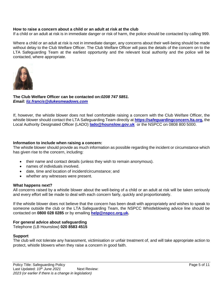#### **How to raise a concern about a child or an adult at risk at the club**

If a child or an adult at risk is in immediate danger or risk of harm, the police should be contacted by calling 999.

Where a child or an adult at risk is not in immediate danger, any concerns about their well-being should be made without delay to the Club Welfare Officer. The Club Welfare Officer will pass the details of the concern on to the LTA Safeguarding Team at the earliest opportunity and the relevant local authority and the police will be contacted, where appropriate.



**The Club Welfare Officer can be contacted on:***0208 747 5851. Email: [liz.francis@dukesmeadows.com](mailto:liz.francis@dukesmeadows.com)*

If, however, the whistle blower does not feel comfortable raising a concern with the Club Welfare Officer, the whistle blower should contact the LTA Safeguarding Team directly at **[https://safeguardingconcern.lta.org,](https://safeguardingconcern.lta.org/)** the Local Authority Designated Officer (LADO) **[lado@hounslow.gov.uk](mailto:lado@hounslow.gov.uk)** or the NSPCC on 0808 800 5000.

#### **Information to include when raising a concern:**

The whistle blower should provide as much information as possible regarding the incident or circumstance which has given rise to the concern, including:

- their name and contact details (unless they wish to remain anonymous).
- names of individuals involved.
- date, time and location of incident/circumstance; and
- whether any witnesses were present.

#### **What happens next?**

All concerns raised by a whistle blower about the well-being of a child or an adult at risk will be taken seriously and every effort will be made to deal with each concern fairly, quickly and proportionately.

If the whistle blower does not believe that the concern has been dealt with appropriately and wishes to speak to someone outside the club or the LTA Safeguarding Team, the NSPCC Whistleblowing advice line should be contacted on **0800 028 0285** or by emailing **[help@nspcc.org.uk.](mailto:help@nspcc.org.uk)**

#### **For general advice about safeguarding**

Telephone (LB Hounslow) **020 8583 4515** 

#### **Support**

The club will not tolerate any harassment, victimisation or unfair treatment of, and will take appropriate action to protect, whistle blowers when they raise a concern in good faith.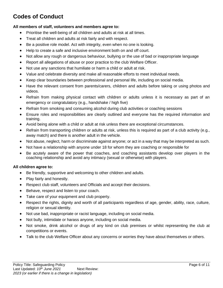# **Codes of Conduct**

#### **All members of staff, volunteers and members agree to:**

- Prioritise the well-being of all children and adults at risk at all times.
- Treat all children and adults at risk fairly and with respect.
- Be a positive role model. Act with integrity, even when no one is looking.
- Help to create a safe and inclusive environment both on and off court.
- Not allow any rough or dangerous behaviour, bullying or the use of bad or inappropriate language
- Report all allegations of abuse or poor practice to the club Welfare Officer.
- Not use any sanctions that humiliate or harm a child or adult at risk.
- Value and celebrate diversity and make all reasonable efforts to meet individual needs.
- Keep clear boundaries between professional and personal life, including on social media.
- Have the relevant consent from parents/carers, children and adults before taking or using photos and videos.
- Refrain from making physical contact with children or adults unless it is necessary as part of an emergency or congratulatory (e.g., handshake / high five)
- Refrain from smoking and consuming alcohol during club activities or coaching sessions
- Ensure roles and responsibilities are clearly outlined and everyone has the required information and training.
- Avoid being alone with a child or adult at risk unless there are exceptional circumstances.
- Refrain from transporting children or adults at risk, unless this is required as part of a club activity (e.g., away match) and there is another adult in the vehicle.
- Not abuse, neglect, harm or discriminate against anyone; or act in a way that may be interpreted as such.
- Not have a relationship with anyone under 18 for whom they are coaching or responsible for
- Be acutely aware of the power that coaches, and coaching assistants develop over players in the coaching relationship and avoid any intimacy (sexual or otherwise) with players.

#### **All children agree to:**

- Be friendly, supportive and welcoming to other children and adults.
- Play fairly and honestly.
- Respect club staff, volunteers and Officials and accept their decisions.
- Behave, respect and listen to your coach.
- Take care of your equipment and club property.
- Respect the rights, dignity and worth of all participants regardless of age, gender, ability, race, culture, religion or sexual identity.
- Not use bad, inappropriate or racist language, including on social media.
- Not bully, intimidate or harass anyone, including on social media.
- Not smoke, drink alcohol or drugs of any kind on club premises or whilst representing the club at competitions or events.
- Talk to the club Welfare Officer about any concerns or worries they have about themselves or others.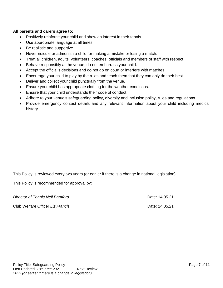#### **All parents and carers agree to:**

- Positively reinforce your child and show an interest in their tennis.
- Use appropriate language at all times.
- Be realistic and supportive.
- Never ridicule or admonish a child for making a mistake or losing a match.
- Treat all children, adults, volunteers, coaches, officials and members of staff with respect.
- Behave responsibly at the venue; do not embarrass your child.
- Accept the official's decisions and do not go on court or interfere with matches.
- Encourage your child to play by the rules and teach them that they can only do their best.
- Deliver and collect your child punctually from the venue.
- Ensure your child has appropriate clothing for the weather conditions.
- Ensure that your child understands their code of conduct.
- Adhere to your venue's safeguarding policy, diversity and inclusion policy, rules and regulations.
- Provide emergency contact details and any relevant information about your child including medical history.

This Policy is reviewed every two years (or earlier if there is a change in national legislation).

This Policy is recommended for approval by:

*Director of Tennis Neil Bamford* Date: 14.05.21 Club Welfare Officer *Liz Francis* Date: 14.05.21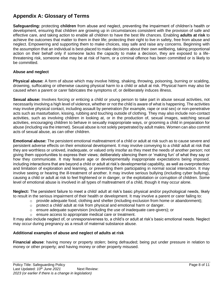## **Appendix A: Glossary of Terms**

**Safeguarding:** protecting **children** from abuse and neglect, preventing the impairment of children's health or development, ensuring that children are growing up in circumstances consistent with the provision of safe and effective care, and taking action to enable all children to have the best life chances. Enabling **adults at risk** to achieve the outcomes that matter to them in their life; protecting their right to live in safety, free from abuse and neglect. Empowering and supporting them to make choices, stay safe and raise any concerns. Beginning with the assumption that an individual is best-placed to make decisions about their own wellbeing, taking proportional action on their behalf only if someone lacks the capacity to make a decision, they are exposed to a lifethreatening risk, someone else may be at risk of harm, or a criminal offence has been committed or is likely to be committed.

#### **Abuse and neglect**

**Physical abuse:** A form of abuse which may involve hitting, shaking, throwing, poisoning, burning or scalding, drowning, suffocating or otherwise causing physical harm to a child or adult at risk. Physical harm may also be caused when a parent or carer fabricates the symptoms of, or deliberately induces illness.

**Sexual abuse:** Involves forcing or enticing a child or young person to take part in abuse sexual activities, not necessarily involving a high level of violence, whether or not the child is aware of what is happening. The activities may involve physical contact, including assault by penetration (for example, rape or oral sex) or non-penetrative acts such as masturbation, kissing, rubbing and touching outside of clothing. They may also include non-contact activities, such as involving children in looking at, or in the production of, sexual images, watching sexual activities, encouraging children to behave in sexually inappropriate ways, or grooming a child in preparation for abuse (including via the internet). Sexual abuse is not solely perpetrated by adult males. Women can also commit acts of sexual abuse, as can other children.

**Emotional abuse:** The persistent emotional maltreatment of a child or adult at risk such as to cause severe and persistent adverse effects on their emotional development. It may involve conveying to a child/ adult at risk that they are worthless or unloved, inadequate, or valued only insofar as they meet the needs of another person; not giving them opportunities to express their views; deliberately silencing them or 'making fun' of what they say or how they communicate. It may feature age or developmentally inappropriate expectations being imposed, including interactions that are beyond a child or adult at risk's developmental capability, as well as overprotection and limitation of exploration and learning, or preventing them participating in normal social interaction. It may involve seeing or hearing the ill-treatment of another. It may involve serious bullying (including cyber bullying), causing a child or adult at risk to feel frightened or in danger, or the exploitation or corruption of children. Some level of emotional abuse is involved in all types of maltreatment of a child, though it may occur alone.

**Neglect:** The persistent failure to meet a child/ adult at risk's basic physical and/or psychological needs, likely to result in the serious impairment of their health or development. It may involve a parent or carer failing to:

- $\circ$  provide adequate food, clothing and shelter (including exclusion from home or abandonment);
- $\circ$  protect a child/ adult at risk from physical and emotional harm or danger.
- $\circ$  ensure adequate supervision (including the use of inadequate care-givers); or
- o ensure access to appropriate medical care or treatment.

It may also include neglect of, or unresponsiveness to, a child's or adult at risk's basic emotional needs. Neglect may occur during pregnancy as a result of maternal substance abuse.

#### **Additional examples of abuse and neglect of adults at risk**

**Financial abuse**: having money or property stolen; being defrauded; being put under pressure in relation to money or other property; and having money or other property misused.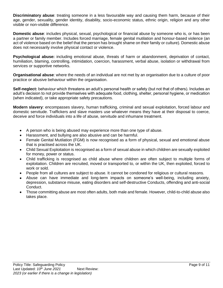**Discriminatory abuse**: treating someone in a less favourable way and causing them harm, because of their age, gender, sexuality, gender identity, disability, socio-economic status, ethnic origin, religion and any other visible or non-visible difference.

**Domestic abuse**: includes physical, sexual, psychological or financial abuse by someone who is, or has been a partner or family member. Includes forced marriage, female genital mutilation and honour-based violence (an act of violence based on the belief that the person has brought shame on their family or culture). Domestic abuse does not necessarily involve physical contact or violence.

**Psychological abuse:** including emotional abuse, threats of harm or abandonment, deprivation of contact, humiliation, blaming, controlling, intimidation, coercion, harassment, verbal abuse, isolation or withdrawal from services or supportive networks.

**Organisational abuse**: where the needs of an individual are not met by an organisation due to a culture of poor practice or abusive behaviour within the organisation.

**Self-neglect:** behaviour which threatens an adult's personal health or safety (but not that of others). Includes an adult's decision to not provide themselves with adequate food, clothing, shelter, personal hygiene, or medication (when indicated), or take appropriate safety precautions.

**Modern slavery**: encompasses slavery, human trafficking, criminal and sexual exploitation, forced labour and domestic servitude. Traffickers and slave masters use whatever means they have at their disposal to coerce, deceive and force individuals into a life of abuse, servitude and inhumane treatment.

- A person who is being abused may experience more than one type of abuse.
- Harassment, and bullying are also abusive and can be harmful.
- Female Genital Mutilation (FGM) is now recognised as a form of physical, sexual and emotional abuse that is practised across the UK.
- Child Sexual Exploitation is recognised as a form of sexual abuse in which children are sexually exploited for money, power or status.
- Child trafficking is recognised as child abuse where children are often subject to multiple forms of exploitation. Children are recruited, moved or transported to, or within the UK, then exploited, forced to work or sold.
- People from all cultures are subject to abuse. It cannot be condoned for religious or cultural reasons.
- Abuse can have immediate and long-term impacts on someone's well-being, including anxiety, depression, substance misuse, eating disorders and self-destructive Conducts, offending and anti-social Conduct.
- Those committing abuse are most often adults, both male and female. However, child-to-child abuse also takes place.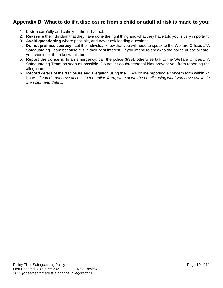## **Appendix B: What to do if a disclosure from a child or adult at risk is made to you:**

- 1. **Listen** carefully and calmly to the individual.
- 2. **Reassure** the individual that they have done the right thing and what they have told you is very important.
- 3. **Avoid questioning** where possible, and never ask leading questions.
- 4. **Do not promise secrecy**. Let the individual know that you will need to speak to the Welfare Officer/LTA Safeguarding Team because it is in their best interest. If you intend to speak to the police or social care, you should let them know this too.
- 5. **Report the concern.** In an emergency, call the police (999), otherwise talk to the Welfare Officer/LTA Safeguarding Team as soon as possible. Do not let doubt/personal bias prevent you from reporting the allegation.
- **6. Record** details of the disclosure and allegation using the LTA's online reporting a concern form within 24 hours*. If you do not have access to the online form, write down the details using what you have available then sign and date it.*